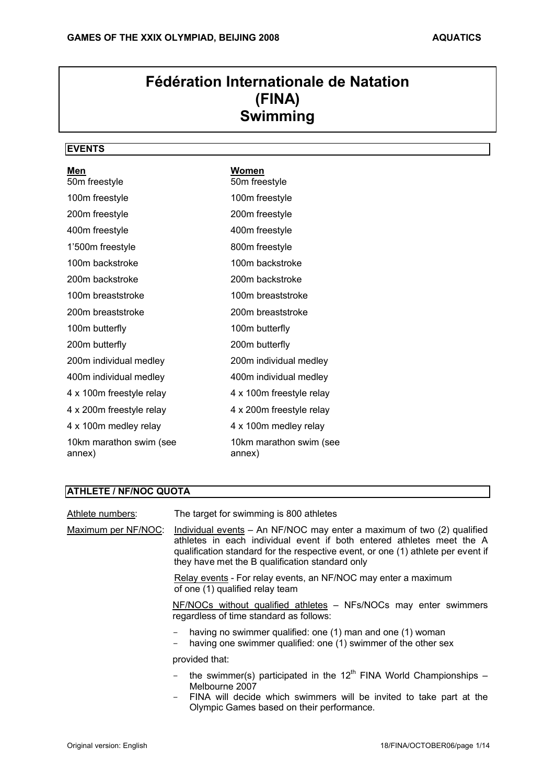# **Fédération Internationale de Natation (FINA) Swimming**

# **EVENTS**

| Men<br>50m freestyle              | Women<br>50m freestyle            |
|-----------------------------------|-----------------------------------|
| 100m freestyle                    | 100m freestyle                    |
| 200m freestyle                    | 200m freestyle                    |
| 400m freestyle                    | 400m freestyle                    |
| 1'500m freestyle                  | 800m freestyle                    |
| 100m backstroke                   | 100m backstroke                   |
| 200m backstroke                   | 200m backstroke                   |
| 100m breaststroke                 | 100m breaststroke                 |
| 200m breaststroke                 | 200m breaststroke                 |
| 100m butterfly                    | 100m butterfly                    |
| 200m butterfly                    | 200m butterfly                    |
| 200m individual medley            | 200m individual medley            |
| 400m individual medley            | 400m individual medley            |
| 4 x 100m freestyle relay          | 4 x 100m freestyle relay          |
| 4 x 200m freestyle relay          | 4 x 200m freestyle relay          |
| 4 x 100m medley relay             | 4 x 100m medley relay             |
| 10km marathon swim (see<br>annex) | 10km marathon swim (see<br>annex) |

# **ATHLETE / NF/NOC QUOTA**

| Athlete numbers:    | The target for swimming is 800 athletes                                                                                                                                                                                                                                                |
|---------------------|----------------------------------------------------------------------------------------------------------------------------------------------------------------------------------------------------------------------------------------------------------------------------------------|
| Maximum per NF/NOC: | Individual events – An NF/NOC may enter a maximum of two (2) qualified<br>athletes in each individual event if both entered athletes meet the A<br>qualification standard for the respective event, or one (1) athlete per event if<br>they have met the B qualification standard only |
|                     | Relay events - For relay events, an NF/NOC may enter a maximum<br>of one (1) qualified relay team                                                                                                                                                                                      |
|                     | NF/NOCs without qualified athletes - NFs/NOCs may enter swimmers<br>regardless of time standard as follows:                                                                                                                                                                            |
|                     | having no swimmer qualified: one (1) man and one (1) woman<br>having one swimmer qualified: one (1) swimmer of the other sex                                                                                                                                                           |
|                     | provided that:                                                                                                                                                                                                                                                                         |
|                     | the swimmer(s) participated in the $12^{th}$ FINA World Championships –<br>Melbourne 2007<br>FINA will decide which swimmers will be invited to take part at the                                                                                                                       |

Olympic Games based on their performance.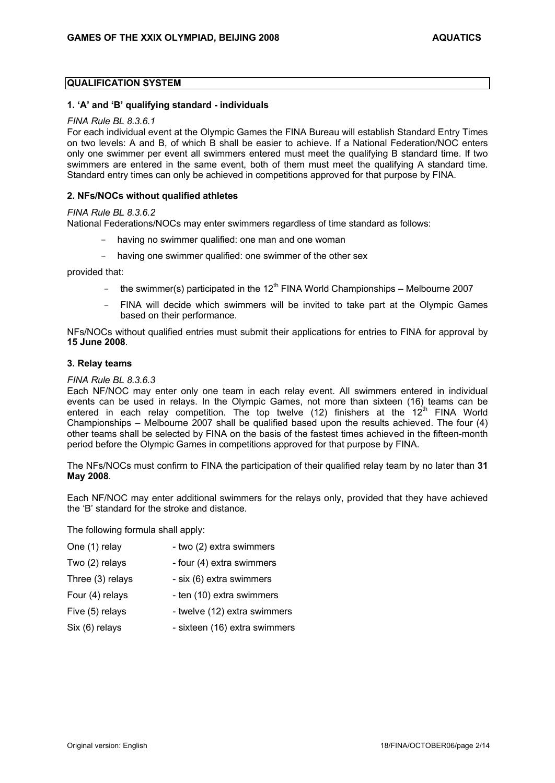### **QUALIFICATION SYSTEM**

#### **1. 'A' and 'B' qualifying standard - individuals**

#### *FINA Rule BL 8.3.6.1*

For each individual event at the Olympic Games the FINA Bureau will establish Standard Entry Times on two levels: A and B, of which B shall be easier to achieve. If a National Federation/NOC enters only one swimmer per event all swimmers entered must meet the qualifying B standard time. If two swimmers are entered in the same event, both of them must meet the qualifying A standard time. Standard entry times can only be achieved in competitions approved for that purpose by FINA.

#### **2. NFs/NOCs without qualified athletes**

#### *FINA Rule BL 8.3.6.2*

National Federations/NOCs may enter swimmers regardless of time standard as follows:

- having no swimmer qualified: one man and one woman
- having one swimmer qualified: one swimmer of the other sex

provided that:

- the swimmer(s) participated in the  $12<sup>th</sup>$  FINA World Championships Melbourne 2007
- FINA will decide which swimmers will be invited to take part at the Olympic Games based on their performance.

NFs/NOCs without qualified entries must submit their applications for entries to FINA for approval by **15 June 2008**.

#### **3. Relay teams**

#### *FINA Rule BL 8.3.6.3*

Each NF/NOC may enter only one team in each relay event. All swimmers entered in individual events can be used in relays. In the Olympic Games, not more than sixteen (16) teams can be entered in each relay competition. The top twelve (12) finishers at the  $12<sup>th</sup>$  FINA World Championships – Melbourne 2007 shall be qualified based upon the results achieved. The four (4) other teams shall be selected by FINA on the basis of the fastest times achieved in the fifteen-month period before the Olympic Games in competitions approved for that purpose by FINA.

The NFs/NOCs must confirm to FINA the participation of their qualified relay team by no later than **31 May 2008**.

Each NF/NOC may enter additional swimmers for the relays only, provided that they have achieved the 'B' standard for the stroke and distance.

The following formula shall apply:

| One (1) relay    | - two (2) extra swimmers      |
|------------------|-------------------------------|
| Two (2) relays   | - four (4) extra swimmers     |
| Three (3) relays | - six (6) extra swimmers      |
| Four (4) relays  | - ten (10) extra swimmers     |
| Five (5) relays  | - twelve (12) extra swimmers  |
| Six (6) relays   | - sixteen (16) extra swimmers |
|                  |                               |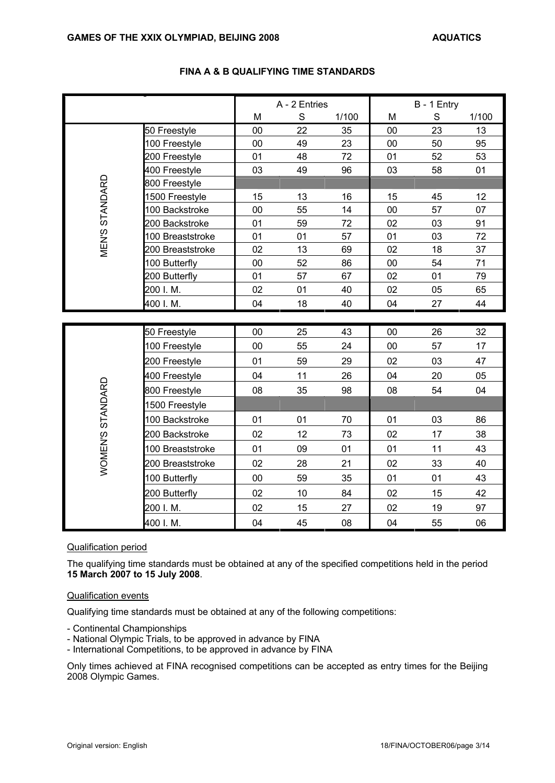|                                      |                  | A - 2 Entries |    | B - 1 Entry |    |    |       |
|--------------------------------------|------------------|---------------|----|-------------|----|----|-------|
|                                      |                  | M             | S  | 1/100       | M  | S  | 1/100 |
|                                      | 50 Freestyle     | 00            | 22 | 35          | 00 | 23 | 13    |
|                                      | 100 Freestyle    | 00            | 49 | 23          | 00 | 50 | 95    |
|                                      | 200 Freestyle    | 01            | 48 | 72          | 01 | 52 | 53    |
|                                      | 400 Freestyle    | 03            | 49 | 96          | 03 | 58 | 01    |
| <b>MEN'S STANDARD</b>                | 800 Freestyle    |               |    |             |    |    |       |
|                                      | 1500 Freestyle   | 15            | 13 | 16          | 15 | 45 | 12    |
|                                      | 100 Backstroke   | 00            | 55 | 14          | 00 | 57 | 07    |
|                                      | 200 Backstroke   | 01            | 59 | 72          | 02 | 03 | 91    |
|                                      | 100 Breaststroke | 01            | 01 | 57          | 01 | 03 | 72    |
|                                      | 200 Breaststroke | 02            | 13 | 69          | 02 | 18 | 37    |
|                                      | 100 Butterfly    | 00            | 52 | 86          | 00 | 54 | 71    |
|                                      | 200 Butterfly    | 01            | 57 | 67          | 02 | 01 | 79    |
|                                      | 200 I.M.         | 02            | 01 | 40          | 02 | 05 | 65    |
|                                      | 400 I.M.         | 04            | 18 | 40          | 04 | 27 | 44    |
|                                      |                  |               |    |             |    |    |       |
|                                      | 50 Freestyle     | 00            | 25 | 43          | 00 | 26 | 32    |
|                                      | 100 Freestyle    | 00            | 55 | 24          | 00 | 57 | 17    |
|                                      | 200 Freestyle    | 01            | 59 | 29          | 02 | 03 | 47    |
|                                      | 400 Freestyle    | 04            | 11 | 26          | 04 | 20 | 05    |
|                                      | 800 Freestyle    | 08            | 35 | 98          | 08 | 54 | 04    |
|                                      | 1500 Freestyle   |               |    |             |    |    |       |
|                                      | 100 Backstroke   | 01            | 01 | 70          | 01 | 03 | 86    |
|                                      | 200 Backstroke   | 02            | 12 | 73          | 02 | 17 | 38    |
|                                      | 100 Breaststroke | 01            | 09 | 01          | 01 | 11 | 43    |
| WOMEN'S STANDARD<br>200 Breaststroke |                  | 02            | 28 | 21          | 02 | 33 | 40    |
|                                      | 100 Butterfly    | 00            | 59 | 35          | 01 | 01 | 43    |
|                                      | 200 Butterfly    | 02            | 10 | 84          | 02 | 15 | 42    |
|                                      | 200 I.M.         | 02            | 15 | 27          | 02 | 19 | 97    |
|                                      | 400 I.M.         | 04            | 45 | 08          | 04 | 55 | 06    |

# **FINA A & B QUALIFYING TIME STANDARDS**

# Qualification period

The qualifying time standards must be obtained at any of the specified competitions held in the period **15 March 2007 to 15 July 2008**.

### Qualification events

Qualifying time standards must be obtained at any of the following competitions:

- Continental Championships

- National Olympic Trials, to be approved in advance by FINA
- International Competitions, to be approved in advance by FINA

Only times achieved at FINA recognised competitions can be accepted as entry times for the Beijing 2008 Olympic Games.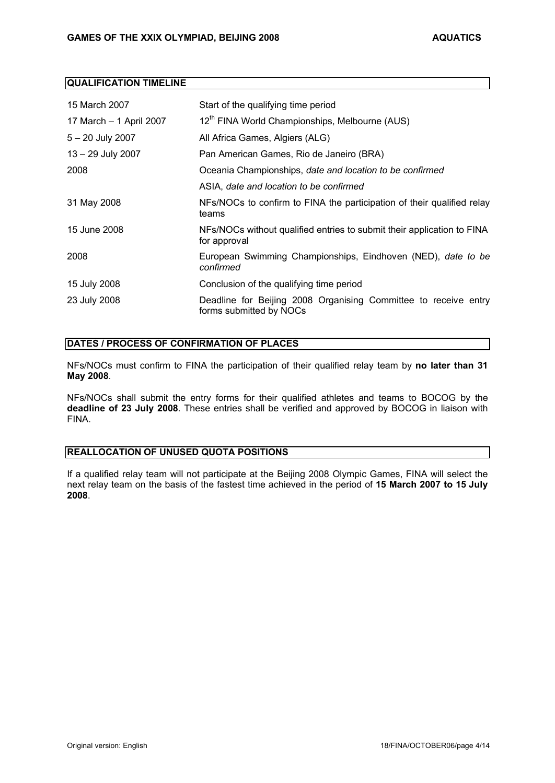# **QUALIFICATION TIMELINE**

| 15 March 2007           | Start of the qualifying time period                                                        |  |
|-------------------------|--------------------------------------------------------------------------------------------|--|
| 17 March - 1 April 2007 | 12 <sup>th</sup> FINA World Championships, Melbourne (AUS)                                 |  |
| $5 - 20$ July 2007      | All Africa Games, Algiers (ALG)                                                            |  |
| $13 - 29$ July 2007     | Pan American Games, Rio de Janeiro (BRA)                                                   |  |
| 2008                    | Oceania Championships, date and location to be confirmed                                   |  |
|                         | ASIA, date and location to be confirmed                                                    |  |
| 31 May 2008             | NFs/NOCs to confirm to FINA the participation of their qualified relay<br>teams            |  |
| 15 June 2008            | NFs/NOCs without qualified entries to submit their application to FINA<br>for approval     |  |
| 2008                    | European Swimming Championships, Eindhoven (NED), date to be<br>confirmed                  |  |
| 15 July 2008            | Conclusion of the qualifying time period                                                   |  |
| 23 July 2008            | Deadline for Beijing 2008 Organising Committee to receive entry<br>forms submitted by NOCs |  |

# **DATES / PROCESS OF CONFIRMATION OF PLACES**

NFs/NOCs must confirm to FINA the participation of their qualified relay team by **no later than 31 May 2008**.

NFs/NOCs shall submit the entry forms for their qualified athletes and teams to BOCOG by the **deadline of 23 July 2008**. These entries shall be verified and approved by BOCOG in liaison with FINA.

# **REALLOCATION OF UNUSED QUOTA POSITIONS**

If a qualified relay team will not participate at the Beijing 2008 Olympic Games, FINA will select the next relay team on the basis of the fastest time achieved in the period of **15 March 2007 to 15 July 2008**.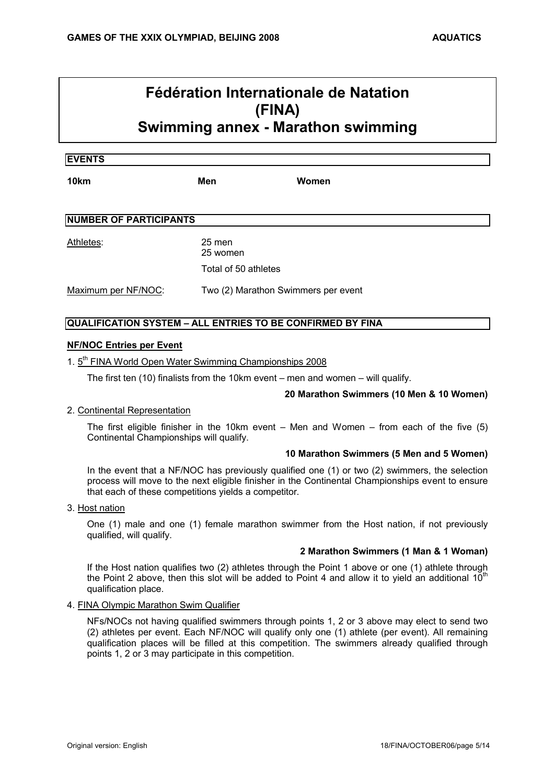# **Fédération Internationale de Natation (FINA)**

**Swimming annex - Marathon swimming**

#### **EVENTS**

**10km Men Women**

| <b>NUMBER OF PARTICIPANTS</b> |        |  |  |
|-------------------------------|--------|--|--|
| Athletes:                     | 25 men |  |  |

25 women Total of 50 athletes

Maximum per NF/NOC: Two (2) Marathon Swimmers per event

# **QUALIFICATION SYSTEM – ALL ENTRIES TO BE CONFIRMED BY FINA**

### **NF/NOC Entries per Event**

1. 5<sup>th</sup> FINA World Open Water Swimming Championships 2008

The first ten (10) finalists from the 10km event – men and women – will qualify.

# **20 Marathon Swimmers (10 Men & 10 Women)**

# 2. Continental Representation

The first eligible finisher in the 10km event – Men and Women – from each of the five (5) Continental Championships will qualify.

#### **10 Marathon Swimmers (5 Men and 5 Women)**

In the event that a NF/NOC has previously qualified one (1) or two (2) swimmers, the selection process will move to the next eligible finisher in the Continental Championships event to ensure that each of these competitions yields a competitor.

#### 3. Host nation

One (1) male and one (1) female marathon swimmer from the Host nation, if not previously qualified, will qualify.

#### **2 Marathon Swimmers (1 Man & 1 Woman)**

If the Host nation qualifies two (2) athletes through the Point 1 above or one (1) athlete through the Point 2 above, then this slot will be added to Point 4 and allow it to yield an additional  $10^{th}$ qualification place.

#### 4. FINA Olympic Marathon Swim Qualifier

NFs/NOCs not having qualified swimmers through points 1, 2 or 3 above may elect to send two (2) athletes per event. Each NF/NOC will qualify only one (1) athlete (per event). All remaining qualification places will be filled at this competition. The swimmers already qualified through points 1, 2 or 3 may participate in this competition.